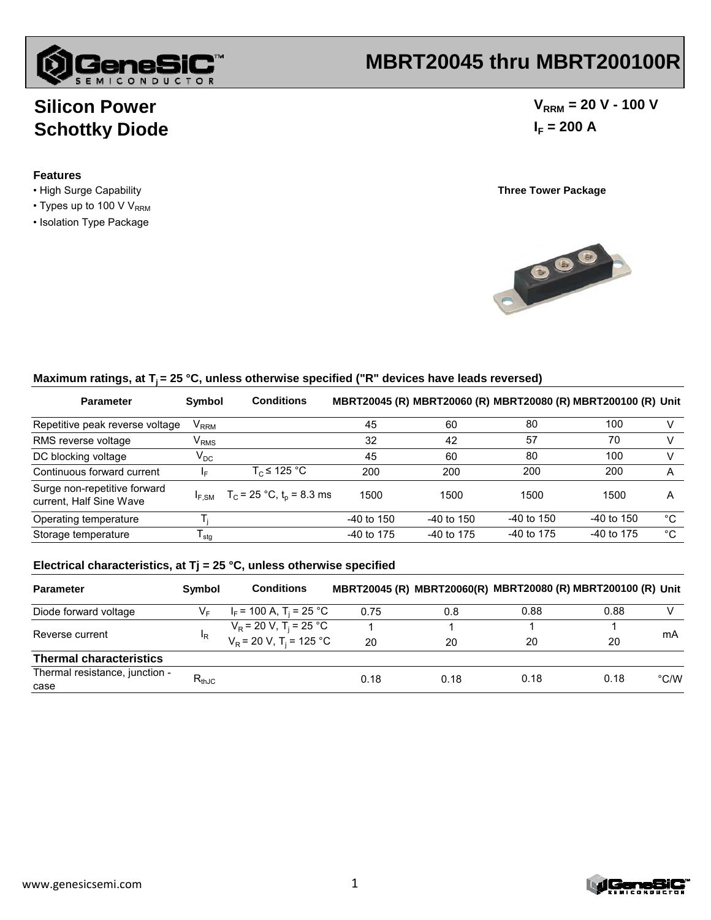

## **MBRT20045 thru MBRT200100R**

## **Silicon Power Schottky Diode**

#### **Features**

- High Surge Capability **Three Tower Package**
- $\cdot$  Types up to 100 V V<sub>RRM</sub>
- Isolation Type Package

 $V_{RRM}$  = 20 V - 100 V  $I_F = 200 A$ 



#### Maximum ratings, at T<sub>i</sub> = 25 °C, unless otherwise specified ("R" devices have leads reversed)

| <b>Parameter</b>                                        | Symbol                      | <b>Conditions</b>                                          |              |              |              | MBRT20045 (R) MBRT20060 (R) MBRT20080 (R) MBRT200100 (R) Unit |    |
|---------------------------------------------------------|-----------------------------|------------------------------------------------------------|--------------|--------------|--------------|---------------------------------------------------------------|----|
| Repetitive peak reverse voltage                         | $\mathsf{V}_{\mathsf{RRM}}$ |                                                            | 45           | 60           | 80           | 100                                                           |    |
| RMS reverse voltage                                     | $\mathsf{V}_{\mathsf{RMS}}$ |                                                            | 32           | 42           | 57           | 70                                                            |    |
| DC blocking voltage                                     | $\mathsf{V}_\mathsf{DC}$    |                                                            | 45           | 60           | 80           | 100                                                           |    |
| Continuous forward current                              | ΙF                          | $T_c \leq 125 \degree C$                                   | 200          | 200          | 200          | 200                                                           | A  |
| Surge non-repetitive forward<br>current, Half Sine Wave |                             | $I_{F,SM}$ T <sub>C</sub> = 25 °C, t <sub>p</sub> = 8.3 ms | 1500         | 1500         | 1500         | 1500                                                          | A  |
| Operating temperature                                   |                             |                                                            | $-40$ to 150 | $-40$ to 150 | $-40$ to 150 | $-40$ to 150                                                  | °C |
| Storage temperature                                     | l <sub>stq</sub>            |                                                            | -40 to 175   | -40 to 175   | $-40$ to 175 | $-40$ to 175                                                  | °C |

#### **Electrical characteristics, at Tj = 25 °C, unless otherwise specified**

| <b>Parameter</b>                       | <b>Symbol</b>                | <b>Conditions</b>                     |      |      |      | MBRT20045 (R) MBRT20060(R) MBRT20080 (R) MBRT200100 (R) Unit |               |
|----------------------------------------|------------------------------|---------------------------------------|------|------|------|--------------------------------------------------------------|---------------|
| Diode forward voltage                  |                              | $I_F$ = 100 A, T <sub>i</sub> = 25 °C | 0.75 | 0.8  | 0.88 | 0.88                                                         |               |
| Reverse current                        | <sup>I</sup> R               | $V_R$ = 20 V, T <sub>i</sub> = 25 °C  |      |      |      |                                                              | mA            |
|                                        |                              | $V_R$ = 20 V, T <sub>i</sub> = 125 °C | 20   | 20   | 20   | 20                                                           |               |
| <b>Thermal characteristics</b>         |                              |                                       |      |      |      |                                                              |               |
| Thermal resistance, junction -<br>case | $\mathsf{R}_{\mathsf{thJC}}$ |                                       | 0.18 | 0.18 | 0.18 | 0.18                                                         | $\degree$ C/W |